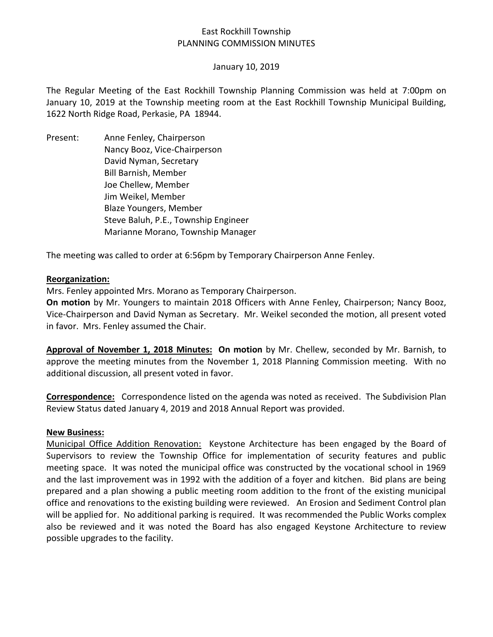# East Rockhill Township PLANNING COMMISSION MINUTES

### January 10, 2019

The Regular Meeting of the East Rockhill Township Planning Commission was held at 7:00pm on January 10, 2019 at the Township meeting room at the East Rockhill Township Municipal Building, 1622 North Ridge Road, Perkasie, PA 18944.

Present: Anne Fenley, Chairperson Nancy Booz, Vice-Chairperson David Nyman, Secretary Bill Barnish, Member Joe Chellew, Member Jim Weikel, Member Blaze Youngers, Member Steve Baluh, P.E., Township Engineer Marianne Morano, Township Manager

The meeting was called to order at 6:56pm by Temporary Chairperson Anne Fenley.

### **Reorganization:**

Mrs. Fenley appointed Mrs. Morano as Temporary Chairperson.

**On motion** by Mr. Youngers to maintain 2018 Officers with Anne Fenley, Chairperson; Nancy Booz, Vice-Chairperson and David Nyman as Secretary. Mr. Weikel seconded the motion, all present voted in favor. Mrs. Fenley assumed the Chair.

**Approval of November 1, 2018 Minutes: On motion** by Mr. Chellew, seconded by Mr. Barnish, to approve the meeting minutes from the November 1, 2018 Planning Commission meeting. With no additional discussion, all present voted in favor.

**Correspondence:** Correspondence listed on the agenda was noted as received. The Subdivision Plan Review Status dated January 4, 2019 and 2018 Annual Report was provided.

### **New Business:**

Municipal Office Addition Renovation: Keystone Architecture has been engaged by the Board of Supervisors to review the Township Office for implementation of security features and public meeting space. It was noted the municipal office was constructed by the vocational school in 1969 and the last improvement was in 1992 with the addition of a foyer and kitchen. Bid plans are being prepared and a plan showing a public meeting room addition to the front of the existing municipal office and renovations to the existing building were reviewed. An Erosion and Sediment Control plan will be applied for. No additional parking is required. It was recommended the Public Works complex also be reviewed and it was noted the Board has also engaged Keystone Architecture to review possible upgrades to the facility.